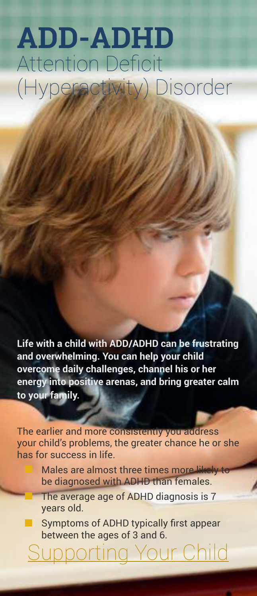# **ADD-ADHD** Attention Deficit (Hyperactivity) Disorder

**Life with a child with ADD/ADHD can be frustrating and overwhelming. You can help your child overcome daily challenges, channel his or her energy into positive arenas, and bring greater calm to your family.** 

The earlier and more consistently you address your child's problems, the greater chance he or she has for success in life.

> Males are almost three times more likely to be diagnosed with ADHD than females.

The average age of ADHD diagnosis is 7 years old.

Symptoms of ADHD typically first appear between the ages of 3 and 6.

<u>upporting Your Child</u>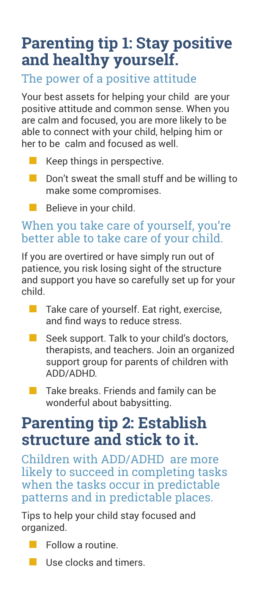## **Parenting tip 1: Stay positive and healthy yourself.**

#### The power of a positive attitude

Your best assets for helping your child are your positive attitude and common sense. When you are calm and focused, you are more likely to be able to connect with your child, helping him or her to be calm and focused as well.

- Keep things in perspective.
- Don't sweat the small stuff and be willing to make some compromises.
- Believe in your child.

#### When you take care of yourself, you're better able to take care of your child.

If you are overtired or have simply run out of patience, you risk losing sight of the structure and support you have so carefully set up for your child.

- Take care of yourself. Eat right, exercise, and find ways to reduce stress.
- Seek support. Talk to your child's doctors, therapists, and teachers. Join an organized support group for parents of children with ADD/ADHD.
- Take breaks. Friends and family can be wonderful about babysitting.

### **Parenting tip 2: Establish structure and stick to it.**

Children with ADD/ADHD are more likely to succeed in completing tasks when the tasks occur in predictable patterns and in predictable places.

Tips to help your child stay focused and organized.

- Follow a routine.
- Use clocks and timers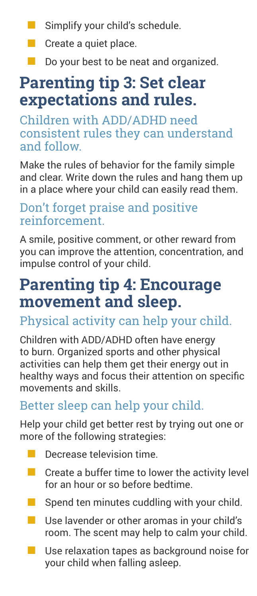- Simplify your child's schedule.
- Create a quiet place.
- Do your best to be neat and organized.

# **Parenting tip 3: Set clear expectations and rules.**

Children with ADD/ADHD need consistent rules they can understand and follow.

Make the rules of behavior for the family simple and clear. Write down the rules and hang them up in a place where your child can easily read them.

#### Don't forget praise and positive reinforcement.

A smile, positive comment, or other reward from you can improve the attention, concentration, and impulse control of your child.

## **Parenting tip 4: Encourage movement and sleep.**

#### Physical activity can help your child.

Children with ADD/ADHD often have energy to burn. Organized sports and other physical activities can help them get their energy out in healthy ways and focus their attention on specific movements and skills.

#### Better sleep can help your child.

Help your child get better rest by trying out one or more of the following strategies:

- Decrease television time.
- $\blacksquare$  Create a buffer time to lower the activity level for an hour or so before bedtime.
- Spend ten minutes cuddling with your child.
- Use lavender or other aromas in your child's room. The scent may help to calm your child.
- Use relaxation tapes as background noise for your child when falling asleep.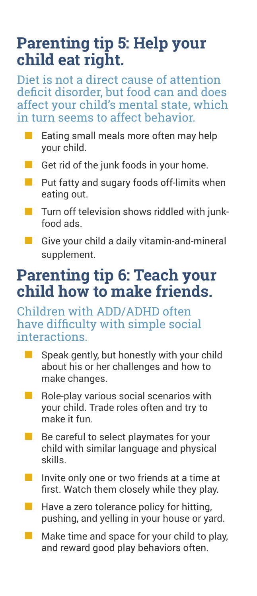### **Parenting tip 5: Help your child eat right.**

Diet is not a direct cause of attention deficit disorder, but food can and does affect your child's mental state, which in turn seems to affect behavior.

- Eating small meals more often may help your child.
- Get rid of the junk foods in your home.
- Put fatty and sugary foods off-limits when eating out.
- Turn off television shows riddled with junkfood ads.
	- Give your child a daily vitamin-and-mineral supplement.

# **Parenting tip 6: Teach your child how to make friends.**

Children with ADD/ADHD often have difficulty with simple social interactions.

- Speak gently, but honestly with your child about his or her challenges and how to make changes.
- Role-play various social scenarios with your child. Trade roles often and try to make it fun.
- Be careful to select playmates for your child with similar language and physical skills.
- Invite only one or two friends at a time at first. Watch them closely while they play.
- Have a zero tolerance policy for hitting, pushing, and yelling in your house or yard.
- Make time and space for your child to play, and reward good play behaviors often.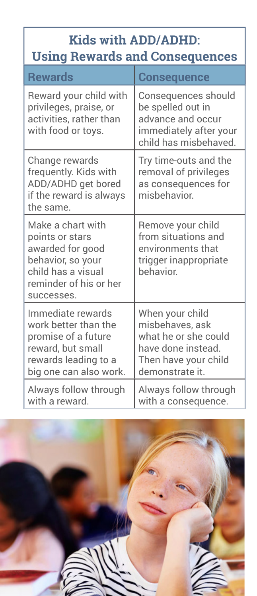#### **Kids with ADD/ADHD: Using Rewards and Consequences**

| <b>Rewards</b>                                                                                                                              | <b>Consequence</b>                                                                                                          |
|---------------------------------------------------------------------------------------------------------------------------------------------|-----------------------------------------------------------------------------------------------------------------------------|
| Reward your child with<br>privileges, praise, or<br>activities, rather than<br>with food or toys.                                           | Consequences should<br>be spelled out in<br>advance and occur<br>immediately after your<br>child has misbehaved.            |
| Change rewards<br>frequently. Kids with<br>ADD/ADHD get bored<br>if the reward is always<br>the same.                                       | Try time-outs and the<br>removal of privileges<br>as consequences for<br>misbehavior.                                       |
| Make a chart with<br>points or stars<br>awarded for good<br>behavior, so your<br>child has a visual<br>reminder of his or her<br>successes. | Remove your child<br>from situations and<br>environments that<br>trigger inappropriate<br>hehavior                          |
| Immediate rewards<br>work better than the<br>promise of a future<br>reward, but small<br>rewards leading to a<br>big one can also work.     | When your child<br>misbehaves, ask<br>what he or she could<br>have done instead.<br>Then have your child<br>demonstrate it. |
| Always follow through<br>with a reward.                                                                                                     | Always follow through<br>with a consequence.                                                                                |